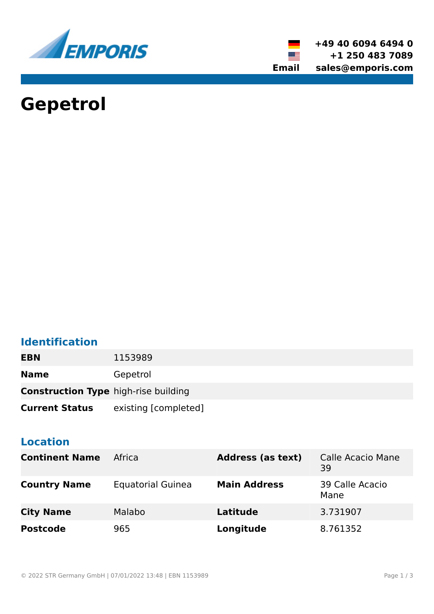

**+49 40 6094 6494 0 +1 250 483 7089 Email sales@emporis.com**

▓▆

# **Gepetrol**

# **Identification**

| <b>EBN</b>                                  | 1153989              |
|---------------------------------------------|----------------------|
| <b>Name</b>                                 | Gepetrol             |
| <b>Construction Type high-rise building</b> |                      |
| <b>Current Status</b>                       | existing [completed] |

## **Location**

| <b>Continent Name</b> | Africa                   | <b>Address (as text)</b> | <b>Calle Acacio Mane</b><br>39 |
|-----------------------|--------------------------|--------------------------|--------------------------------|
| <b>Country Name</b>   | <b>Equatorial Guinea</b> | <b>Main Address</b>      | 39 Calle Acacio<br>Mane        |
| <b>City Name</b>      | Malabo                   | <b>Latitude</b>          | 3.731907                       |
| <b>Postcode</b>       | 965                      | Longitude                | 8.761352                       |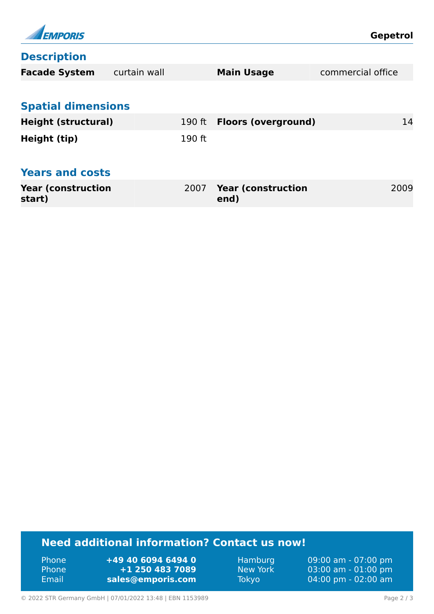| <b>EMPORIS</b>                      |              |          |                                   | <b>Gepetrol</b>   |      |
|-------------------------------------|--------------|----------|-----------------------------------|-------------------|------|
| <b>Description</b>                  |              |          |                                   |                   |      |
| <b>Facade System</b>                | curtain wall |          | <b>Main Usage</b>                 | commercial office |      |
|                                     |              |          |                                   |                   |      |
| <b>Spatial dimensions</b>           |              |          |                                   |                   |      |
| <b>Height (structural)</b>          |              | $190$ ft | <b>Floors (overground)</b>        |                   | 14   |
| Height (tip)                        |              | 190 ft   |                                   |                   |      |
|                                     |              |          |                                   |                   |      |
| <b>Years and costs</b>              |              |          |                                   |                   |      |
| <b>Year (construction</b><br>start) |              | 2007     | <b>Year (construction</b><br>end) |                   | 2009 |

## **Need additional information? Contact us now!**

Phone **+49 40 6094 6494 0<br>
Phone <b>+1 250 483 7089** Phone **+1 250 483 7089** Email **<sales@emporis.com>**

Hamburg 09:00 am - 07:00 pm<br>New York 03:00 am - 01:00 pm New York 03:00 am - 01:00 pm<br>Tokyo 04:00 pm - 02:00 am 04:00 pm - 02:00 am